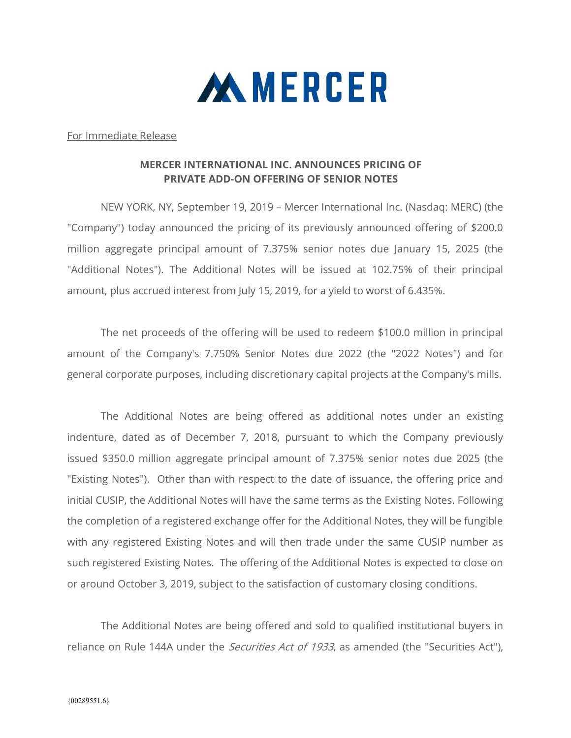

For Immediate Release

## MERCER INTERNATIONAL INC. ANNOUNCES PRICING OF PRIVATE ADD-ON OFFERING OF SENIOR NOTES

 NEW YORK, NY, September 19, 2019 – Mercer International Inc. (Nasdaq: MERC) (the "Company") today announced the pricing of its previously announced offering of \$200.0 million aggregate principal amount of 7.375% senior notes due January 15, 2025 (the "Additional Notes"). The Additional Notes will be issued at 102.75% of their principal amount, plus accrued interest from July 15, 2019, for a yield to worst of 6.435%.

The net proceeds of the offering will be used to redeem \$100.0 million in principal amount of the Company's 7.750% Senior Notes due 2022 (the "2022 Notes") and for general corporate purposes, including discretionary capital projects at the Company's mills.

The Additional Notes are being offered as additional notes under an existing indenture, dated as of December 7, 2018, pursuant to which the Company previously issued \$350.0 million aggregate principal amount of 7.375% senior notes due 2025 (the "Existing Notes"). Other than with respect to the date of issuance, the offering price and initial CUSIP, the Additional Notes will have the same terms as the Existing Notes. Following the completion of a registered exchange offer for the Additional Notes, they will be fungible with any registered Existing Notes and will then trade under the same CUSIP number as such registered Existing Notes. The offering of the Additional Notes is expected to close on or around October 3, 2019, subject to the satisfaction of customary closing conditions.

The Additional Notes are being offered and sold to qualified institutional buyers in reliance on Rule 144A under the *Securities Act of 1933*, as amended (the "Securities Act"),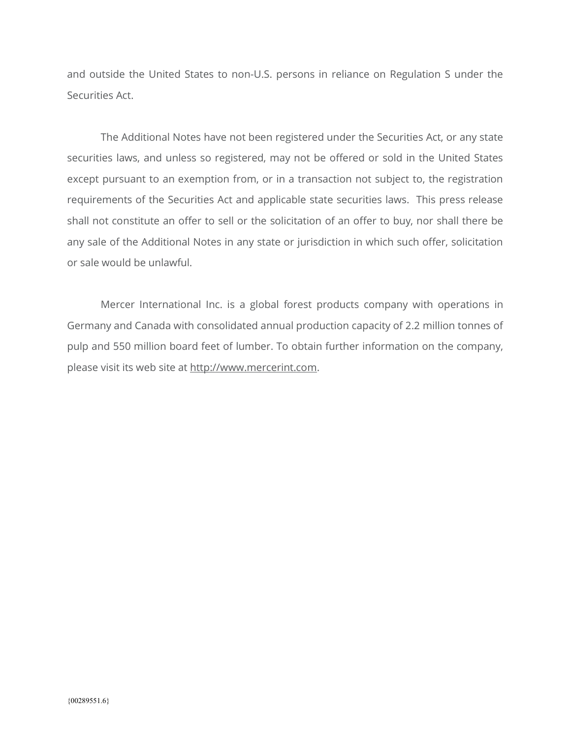and outside the United States to non-U.S. persons in reliance on Regulation S under the Securities Act.

The Additional Notes have not been registered under the Securities Act, or any state securities laws, and unless so registered, may not be offered or sold in the United States except pursuant to an exemption from, or in a transaction not subject to, the registration requirements of the Securities Act and applicable state securities laws. This press release shall not constitute an offer to sell or the solicitation of an offer to buy, nor shall there be any sale of the Additional Notes in any state or jurisdiction in which such offer, solicitation or sale would be unlawful.

Mercer International Inc. is a global forest products company with operations in Germany and Canada with consolidated annual production capacity of 2.2 million tonnes of pulp and 550 million board feet of lumber. To obtain further information on the company, please visit its web site at http://www.mercerint.com.